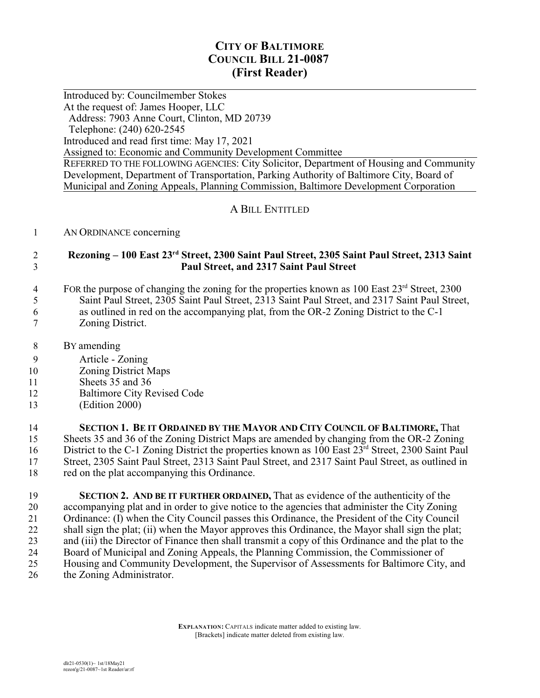# **CITY OF BALTIMORE COUNCIL BILL 21-0087 (First Reader)**

 $\overline{a}$ Introduced by: Councilmember Stokes At the request of: James Hooper, LLC Address: 7903 Anne Court, Clinton, MD 20739 Telephone: (240) 620-2545 Introduced and read first time: May 17, 2021 Assigned to: Economic and Community Development Committee REFERRED TO THE FOLLOWING AGENCIES: City Solicitor, Department of Housing and Community Development, Department of Transportation, Parking Authority of Baltimore City, Board of Municipal and Zoning Appeals, Planning Commission, Baltimore Development Corporation

## A BILL ENTITLED

#### 1 AN ORDINANCE concerning

### 2 **Rezoning – 100 East 23rd Street, 2300 Saint Paul Street, 2305 Saint Paul Street, 2313 Saint** 3 **Paul Street, and 2317 Saint Paul Street**

- 4 FOR the purpose of changing the zoning for the properties known as 100 East  $23<sup>rd</sup>$  Street, 2300 5 Saint Paul Street, 2305 Saint Paul Street, 2313 Saint Paul Street, and 2317 Saint Paul Street, 6 as outlined in red on the accompanying plat, from the OR-2 Zoning District to the C-1 7 Zoning District.
- 8 BY amending
- 9 Article Zoning
- 10 Zoning District Maps
- 11 Sheets 35 and 36
- 12 Baltimore City Revised Code
- 13 (Edition 2000)

 **SECTION 1. BE IT ORDAINED BY THE MAYOR AND CITY COUNCIL OF BALTIMORE,** That Sheets 35 and 36 of the Zoning District Maps are amended by changing from the OR-2 Zoning 16 District to the C-1 Zoning District the properties known as 100 East 23<sup>rd</sup> Street, 2300 Saint Paul Street, 2305 Saint Paul Street, 2313 Saint Paul Street, and 2317 Saint Paul Street, as outlined in red on the plat accompanying this Ordinance.

 **SECTION 2. AND BE IT FURTHER ORDAINED,** That as evidence of the authenticity of the accompanying plat and in order to give notice to the agencies that administer the City Zoning 21 Ordinance: (I) when the City Council passes this Ordinance, the President of the City Council<br>22 shall sign the plat: (ii) when the Mayor approves this Ordinance, the Mayor shall sign the plat: shall sign the plat; (ii) when the Mayor approves this Ordinance, the Mayor shall sign the plat; and (iii) the Director of Finance then shall transmit a copy of this Ordinance and the plat to the Board of Municipal and Zoning Appeals, the Planning Commission, the Commissioner of Housing and Community Development, the Supervisor of Assessments for Baltimore City, and the Zoning Administrator.

> **EXPLANATION:** CAPITALS indicate matter added to existing law. [Brackets] indicate matter deleted from existing law.